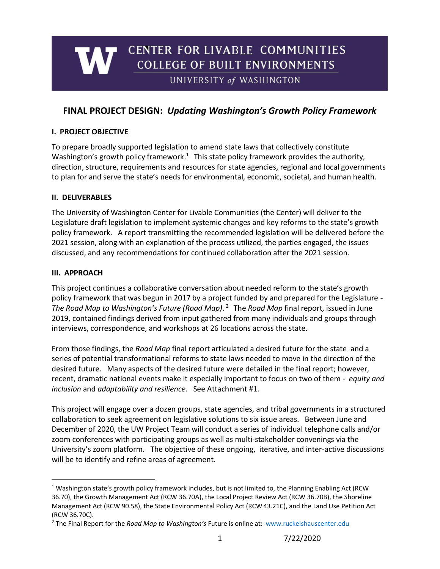# CENTER FOR LIVABLE COMMUNITIES **COLLEGE OF BUILT ENVIRONMENTS** UNIVERSITY of WASHINGTON

# **FINAL PROJECT DESIGN:** *Updating Washington's Growth Policy Framework*

#### **I. PROJECT OBJECTIVE**

To prepare broadly supported legislation to amend state laws that collectively constitute Washington's growth policy framework.<sup>1</sup> This state policy framework provides the authority, direction, structure, requirements and resources for state agencies, regional and local governments to plan for and serve the state's needs for environmental, economic, societal, and human health.

#### **II. DELIVERABLES**

The University of Washington Center for Livable Communities (the Center) will deliver to the Legislature draft legislation to implement systemic changes and key reforms to the state's growth policy framework. A report transmitting the recommended legislation will be delivered before the 2021 session, along with an explanation of the process utilized, the parties engaged, the issues discussed, and any recommendations for continued collaboration after the 2021 session.

#### **III. APPROACH**

This project continues a collaborative conversation about needed reform to the state's growth policy framework that was begun in 2017 by a project funded by and prepared for the Legislature - *The Road Map to Washington's Future (Road Map)*. <sup>2</sup> The *Road Map* final report, issued in June 2019, contained findings derived from input gathered from many individuals and groups through interviews, correspondence, and workshops at 26 locations across the state.

From those findings, the *Road Map* final report articulated a desired future for the state and a series of potential transformational reforms to state laws needed to move in the direction of the desired future. Many aspects of the desired future were detailed in the final report; however, recent, dramatic national events make it especially important to focus on two of them - *equity and inclusion* and *adaptability and resilience.* See Attachment #1.

This project will engage over a dozen groups, state agencies, and tribal governments in a structured collaboration to seek agreement on legislative solutions to six issue areas. Between June and December of 2020, the UW Project Team will conduct a series of individual telephone calls and/or zoom conferences with participating groups as well as multi-stakeholder convenings via the University's zoom platform. The objective of these ongoing, iterative, and inter-active discussions will be to identify and refine areas of agreement.

<sup>&</sup>lt;sup>1</sup> Washington state's growth policy framework includes, but is not limited to, the Planning Enabling Act (RCW 36.70), the Growth Management Act (RCW 36.70A), the Local Project Review Act (RCW 36.70B), the Shoreline Management Act (RCW 90.58), the State Environmental Policy Act (RCW 43.21C), and the Land Use Petition Act (RCW 36.70C).

<sup>2</sup> The Final Report for the *Road Map to Washington's* Future is online at: [www.ruckelshauscenter.edu](http://www.ruckelshauscenter.edu/)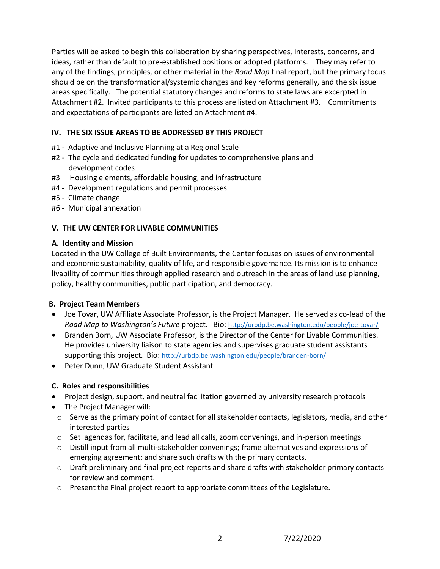Parties will be asked to begin this collaboration by sharing perspectives, interests, concerns, and ideas, rather than default to pre-established positions or adopted platforms. They may refer to any of the findings, principles, or other material in the *Road Map* final report, but the primary focus should be on the transformational/systemic changes and key reforms generally, and the six issue areas specifically. The potential statutory changes and reforms to state laws are excerpted in Attachment #2. Invited participants to this process are listed on Attachment #3. Commitments and expectations of participants are listed on Attachment #4.

### **IV. THE SIX ISSUE AREAS TO BE ADDRESSED BY THIS PROJECT**

- #1 Adaptive and Inclusive Planning at a Regional Scale
- #2 The cycle and dedicated funding for updates to comprehensive plans and development codes
- #3 Housing elements, affordable housing, and infrastructure
- #4 Development regulations and permit processes
- #5 Climate change
- #6 Municipal annexation

### **V. THE UW CENTER FOR LIVABLE COMMUNITIES**

### **A. Identity and Mission**

Located in the UW College of Built Environments, the Center focuses on issues of environmental and economic sustainability, quality of life, and responsible governance. Its mission is to enhance livability of communities through applied research and outreach in the areas of land use planning, policy, healthy communities, public participation, and democracy.

### **B. Project Team Members**

- Joe Tovar, UW Affiliate Associate Professor, is the Project Manager. He served as co-lead of the *Road Map to Washington's Future* project. Bio: <http://urbdp.be.washington.edu/people/joe-tovar/>
- Branden Born, UW Associate Professor, is the Director of the Center for Livable Communities. He provides university liaison to state agencies and supervises graduate student assistants supporting this project. Bio: <http://urbdp.be.washington.edu/people/branden-born/>
- Peter Dunn, UW Graduate Student Assistant

### **C. Roles and responsibilities**

- Project design, support, and neutral facilitation governed by university research protocols
- The Project Manager will:
- o Serve as the primary point of contact for all stakeholder contacts, legislators, media, and other interested parties
- $\circ$  Set agendas for, facilitate, and lead all calls, zoom convenings, and in-person meetings
- $\circ$  Distill input from all multi-stakeholder convenings; frame alternatives and expressions of emerging agreement; and share such drafts with the primary contacts.
- $\circ$  Draft preliminary and final project reports and share drafts with stakeholder primary contacts for review and comment.
- o Present the Final project report to appropriate committees of the Legislature.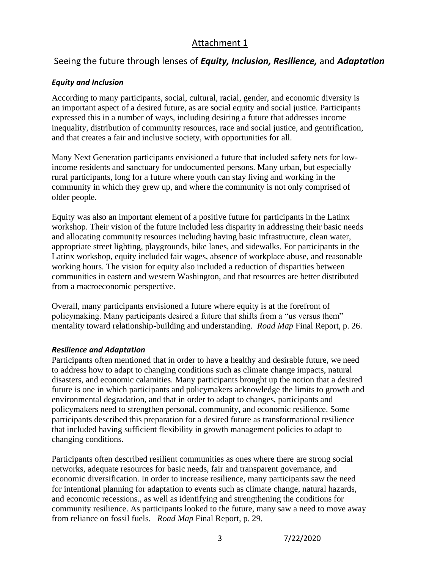# Attachment 1

# Seeing the future through lenses of *Equity, Inclusion, Resilience,* and *Adaptation*

### *Equity and Inclusion*

According to many participants, social, cultural, racial, gender, and economic diversity is an important aspect of a desired future, as are social equity and social justice. Participants expressed this in a number of ways, including desiring a future that addresses income inequality, distribution of community resources, race and social justice, and gentrification, and that creates a fair and inclusive society, with opportunities for all.

Many Next Generation participants envisioned a future that included safety nets for lowincome residents and sanctuary for undocumented persons. Many urban, but especially rural participants, long for a future where youth can stay living and working in the community in which they grew up, and where the community is not only comprised of older people.

Equity was also an important element of a positive future for participants in the Latinx workshop. Their vision of the future included less disparity in addressing their basic needs and allocating community resources including having basic infrastructure, clean water, appropriate street lighting, playgrounds, bike lanes, and sidewalks. For participants in the Latinx workshop, equity included fair wages, absence of workplace abuse, and reasonable working hours. The vision for equity also included a reduction of disparities between communities in eastern and western Washington, and that resources are better distributed from a macroeconomic perspective.

Overall, many participants envisioned a future where equity is at the forefront of policymaking. Many participants desired a future that shifts from a "us versus them" mentality toward relationship-building and understanding*. Road Map* Final Report, p. 26.

### *Resilience and Adaptation*

Participants often mentioned that in order to have a healthy and desirable future, we need to address how to adapt to changing conditions such as climate change impacts, natural disasters, and economic calamities. Many participants brought up the notion that a desired future is one in which participants and policymakers acknowledge the limits to growth and environmental degradation, and that in order to adapt to changes, participants and policymakers need to strengthen personal, community, and economic resilience. Some participants described this preparation for a desired future as transformational resilience that included having sufficient flexibility in growth management policies to adapt to changing conditions.

Participants often described resilient communities as ones where there are strong social networks, adequate resources for basic needs, fair and transparent governance, and economic diversification. In order to increase resilience, many participants saw the need for intentional planning for adaptation to events such as climate change, natural hazards, and economic recessions., as well as identifying and strengthening the conditions for community resilience. As participants looked to the future, many saw a need to move away from reliance on fossil fuels. *Road Map* Final Report, p. 29.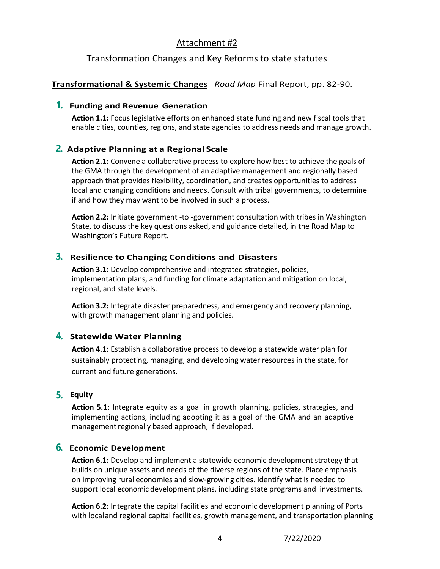# Attachment #2

# Transformation Changes and Key Reforms to state statutes

### **Transformational & Systemic Changes** *Road Map* Final Report, pp. 82-90.

### **1. Funding and Revenue Generation**

**Action 1.1:** Focus legislative efforts on enhanced state funding and new fiscal tools that enable cities, counties, regions, and state agencies to address needs and manage growth.

### **2. Adaptive Planning at a Regional Scale**

**Action 2.1:** Convene a collaborative process to explore how best to achieve the goals of the GMA through the development of an adaptive management and regionally based approach that provides flexibility, coordination, and creates opportunities to address local and changing conditions and needs. Consult with tribal governments, to determine if and how they may want to be involved in such a process.

**Action 2.2:** Initiate government -to -government consultation with tribes in Washington State, to discuss the key questions asked, and guidance detailed, in the Road Map to Washington's Future Report.

### **3. Resilience to Changing Conditions and Disasters**

**Action 3.1:** Develop comprehensive and integrated strategies, policies, implementation plans, and funding for climate adaptation and mitigation on local, regional, and state levels.

**Action 3.2:** Integrate disaster preparedness, and emergency and recovery planning, with growth management planning and policies.

# **4. Statewide Water Planning**

**Action 4.1:** Establish a collaborative process to develop a statewide water plan for sustainably protecting, managing, and developing water resources in the state, for current and future generations.

### **5. Equity**

**Action 5.1:** Integrate equity as a goal in growth planning, policies, strategies, and implementing actions, including adopting it as a goal of the GMA and an adaptive management regionally based approach, if developed.

### **6. Economic Development**

**Action 6.1:** Develop and implement a statewide economic development strategy that builds on unique assets and needs of the diverse regions of the state. Place emphasis on improving rural economies and slow-growing cities. Identify what is needed to support local economic development plans, including state programs and investments.

**Action 6.2:** Integrate the capital facilities and economic development planning of Ports with localand regional capital facilities, growth management, and transportation planning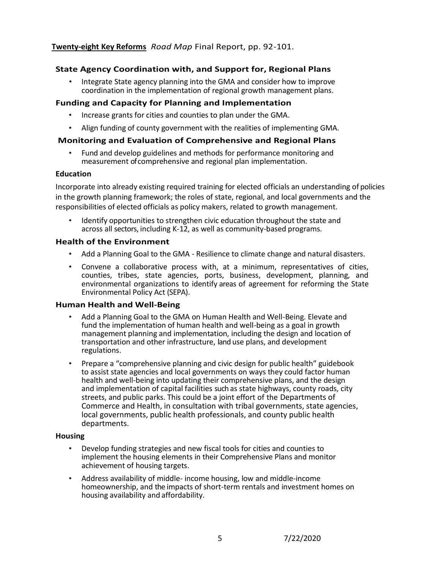### **Twenty-eight Key Reforms** *Road Map* Final Report, pp. 92-101.

### **State Agency Coordination with, and Support for, Regional Plans**

• Integrate State agency planning into the GMA and consider how to improve coordination in the implementation of regional growth management plans.

#### **Funding and Capacity for Planning and Implementation**

- Increase grants for cities and counties to plan under the GMA.
- Align funding of county government with the realities of implementing GMA.

#### **Monitoring and Evaluation of Comprehensive and Regional Plans**

• Fund and develop guidelines and methods for performance monitoring and measurement of comprehensive and regional plan implementation.

#### **Education**

Incorporate into already existing required training for elected officials an understanding of policies in the growth planning framework; the roles of state, regional, and local governments and the responsibilities of elected officials as policy makers, related to growth management.

Identify opportunities to strengthen civic education throughout the state and across all sectors, including K-12, as well as community-based programs.

#### **Health of the Environment**

- Add a Planning Goal to the GMA Resilience to climate change and natural disasters.
- Convene a collaborative process with, at a minimum, representatives of cities, counties, tribes, state agencies, ports, business, development, planning, and environmental organizations to identify areas of agreement for reforming the State Environmental Policy Act (SEPA).

### **Human Health and Well-Being**

- Add a Planning Goal to the GMA on Human Health and Well-Being. Elevate and fund the implementation of human health and well-being as a goal in growth management planning and implementation, including the design and location of transportation and other infrastructure, land use plans, and development regulations.
- Prepare a "comprehensive planning and civic design for public health" guidebook to assist state agencies and local governments on ways they could factor human health and well-being into updating their comprehensive plans, and the design and implementation of capital facilities such as state highways, county roads, city streets, and public parks. This could be a joint effort of the Departments of Commerce and Health, in consultation with tribal governments, state agencies, local governments, public health professionals, and county public health departments.

#### **Housing**

- Develop funding strategies and new fiscal tools for cities and counties to implement the housing elements in their Comprehensive Plans and monitor achievement of housing targets.
- Address availability of middle- income housing, low and middle-income homeownership, and the impacts of short-term rentals and investment homes on housing availability and affordability.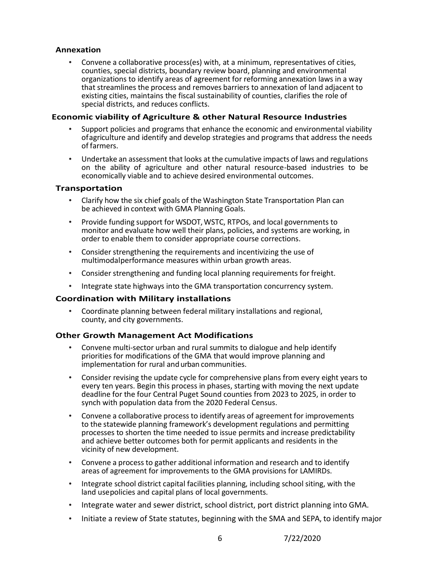#### **Annexation**

• Convene a collaborative process(es) with, at a minimum, representatives of cities, counties, special districts, boundary review board, planning and environmental organizations to identify areas of agreement for reforming annexation laws in a way that streamlines the process and removes barriers to annexation of land adjacent to existing cities, maintains the fiscal sustainability of counties, clarifies the role of special districts, and reduces conflicts.

#### **Economic viability of Agriculture & other Natural Resource Industries**

- Support policies and programs that enhance the economic and environmental viability ofagriculture and identify and develop strategies and programs that address the needs of farmers.
- Undertake an assessment that looks at the cumulative impacts of laws and regulations on the ability of agriculture and other natural resource-based industries to be economically viable and to achieve desired environmental outcomes.

#### **Transportation**

- Clarify how the six chief goals of the Washington State Transportation Plan can be achieved in context with GMA Planning Goals.
- Provide funding support for WSDOT, WSTC, RTPOs, and local governments to monitor and evaluate how well their plans, policies, and systems are working, in order to enable them to consider appropriate course corrections.
- Consider strengthening the requirements and incentivizing the use of multimodalperformance measures within urban growth areas.
- Consider strengthening and funding local planning requirements for freight.
- Integrate state highways into the GMA transportation concurrency system.

### **Coordination with Military installations**

• Coordinate planning between federal military installations and regional, county, and city governments.

### **Other Growth Management Act Modifications**

- Convene multi-sector urban and rural summits to dialogue and help identify priorities for modifications of the GMA that would improve planning and implementation for rural andurban communities.
- Consider revising the update cycle for comprehensive plans from every eight years to every ten years. Begin this process in phases, starting with moving the next update deadline for the four Central Puget Sound counties from 2023 to 2025, in order to synch with population data from the 2020 Federal Census.
- Convene a collaborative process to identify areas of agreement for improvements to the statewide planning framework's development regulations and permitting processes to shorten the time needed to issue permits and increase predictability and achieve better outcomes both for permit applicants and residents in the vicinity of new development.
- Convene a process to gather additional information and research and to identify areas of agreement for improvements to the GMA provisions for LAMIRDs.
- Integrate school district capital facilities planning, including school siting, with the land usepolicies and capital plans of local governments.
- Integrate water and sewer district, school district, port district planning into GMA.
- Initiate a review of State statutes, beginning with the SMA and SEPA, to identify major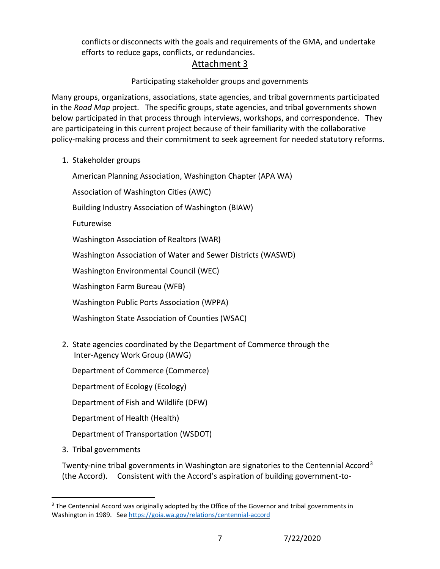conflicts or disconnects with the goals and requirements of the GMA, and undertake efforts to reduce gaps, conflicts, or redundancies.

# Attachment 3

# Participating stakeholder groups and governments

Many groups, organizations, associations, state agencies, and tribal governments participated in the *Road Map* project. The specific groups, state agencies, and tribal governments shown below participated in that process through interviews, workshops, and correspondence. They are participateing in this current project because of their familiarity with the collaborative policy-making process and their commitment to seek agreement for needed statutory reforms.

1. Stakeholder groups

American Planning Association, Washington Chapter (APA WA)

Association of Washington Cities (AWC)

Building Industry Association of Washington (BIAW)

Futurewise

Washington Association of Realtors (WAR)

Washington Association of Water and Sewer Districts (WASWD)

Washington Environmental Council (WEC)

Washington Farm Bureau (WFB)

Washington Public Ports Association (WPPA)

Washington State Association of Counties (WSAC)

2. State agencies coordinated by the Department of Commerce through the Inter-Agency Work Group (IAWG)

Department of Commerce (Commerce)

Department of Ecology (Ecology)

Department of Fish and Wildlife (DFW)

Department of Health (Health)

Department of Transportation (WSDOT)

3. Tribal governments

Twenty-nine tribal governments in Washington are signatories to the Centennial Accord<sup>3</sup> (the Accord). Consistent with the Accord's aspiration of building government-to-

<sup>&</sup>lt;sup>3</sup> The Centennial Accord was originally adopted by the Office of the Governor and tribal governments in Washington in 1989. See<https://goia.wa.gov/relations/centennial-accord>